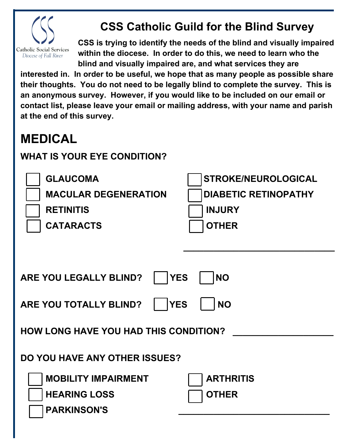

## **CSS Catholic Guild for the Blind Survey**

**CSS is trying to identify the needs of the blind and visually impaired within the diocese. In order to do this, we need to learn who the blind and visually impaired are, and what services they are** 

**interested in. In order to be useful, we hope that as many people as possible share their thoughts. You do not need to be legally blind to complete the survey. This is an anonymous survey. However, if you would like to be included on our email or contact list, please leave your email or mailing address, with your name and parish at the end of this survey.**

## **MEDICAL**

## **WHAT IS YOUR EYE CONDITION?**

| <b>GLAUCOMA</b><br><b>MACULAR DEGENERATION</b><br><b>RETINITIS</b><br><b>CATARACTS</b> | <b>STROKE/NEUROLOGICAL</b><br><b>DIABETIC RETINOPATHY</b><br><b>INJURY</b><br><b>OTHER</b> |
|----------------------------------------------------------------------------------------|--------------------------------------------------------------------------------------------|
|                                                                                        |                                                                                            |
| <b>YES</b><br>ARE YOU LEGALLY BLIND?                                                   | <b>NO</b>                                                                                  |
| <b>YES</b><br>ARE YOU TOTALLY BLIND?                                                   | <b>NO</b>                                                                                  |
| <b>HOW LONG HAVE YOU HAD THIS CONDITION?</b>                                           |                                                                                            |
| <b>DO YOU HAVE ANY OTHER ISSUES?</b>                                                   |                                                                                            |
| <b>MOBILITY IMPAIRMENT</b><br><b>HEARING LOSS</b>                                      | <b>ARTHRITIS</b>                                                                           |
| <b>PARKINSON'S</b>                                                                     | <b>OTHER</b>                                                                               |